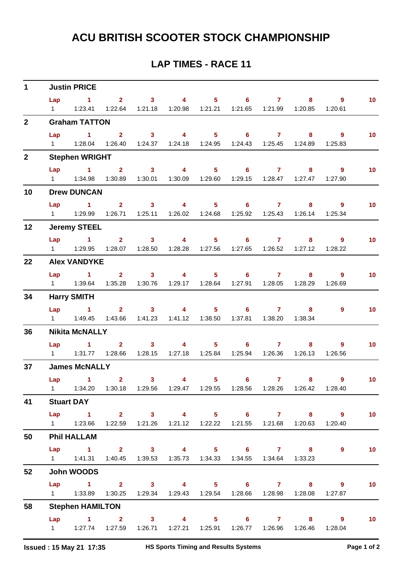## **ACU BRITISH SCOOTER STOCK CHAMPIONSHIP**

## **LAP TIMES - RACE 11**

| $1 \quad$       | <b>Justin PRICE</b>     |                                                                                             |  |  |  |  |                                                  |  |  |                                                                                                      |                 |
|-----------------|-------------------------|---------------------------------------------------------------------------------------------|--|--|--|--|--------------------------------------------------|--|--|------------------------------------------------------------------------------------------------------|-----------------|
|                 |                         | Lap 1 2 3 4 5 6 7 8 9                                                                       |  |  |  |  |                                                  |  |  |                                                                                                      | 10 <sub>1</sub> |
|                 |                         | 1   1:23.41   1:22.64   1:21.18   1:20.98   1:21.21   1:21.65   1:21.99   1:20.85   1:20.61 |  |  |  |  |                                                  |  |  |                                                                                                      |                 |
| $2^{\circ}$     | <b>Graham TATTON</b>    |                                                                                             |  |  |  |  |                                                  |  |  |                                                                                                      |                 |
|                 |                         | Lap 1 2 3 4 5 6 7 8 9                                                                       |  |  |  |  |                                                  |  |  |                                                                                                      | 10 <sub>1</sub> |
|                 |                         | 1   1:28.04   1:26.40   1:24.37   1:24.18   1:24.95   1:24.43   1:25.45   1:24.89   1:25.83 |  |  |  |  |                                                  |  |  |                                                                                                      |                 |
| 2 <sup>1</sup>  | <b>Stephen WRIGHT</b>   |                                                                                             |  |  |  |  |                                                  |  |  |                                                                                                      |                 |
|                 |                         | Lap 1 2 3 4 5 6 7 8                                                                         |  |  |  |  |                                                  |  |  | $9^{\circ}$                                                                                          | 10 <sub>1</sub> |
|                 |                         | 1   1:34.98   1:30.89   1:30.01   1:30.09   1:29.60   1:29.15   1:28.47   1:27.47   1:27.90 |  |  |  |  |                                                  |  |  |                                                                                                      |                 |
| 10              | <b>Drew DUNCAN</b>      |                                                                                             |  |  |  |  |                                                  |  |  |                                                                                                      |                 |
|                 |                         | Lap 1 2 3 4 5 6 7 8 9                                                                       |  |  |  |  |                                                  |  |  |                                                                                                      | 10 <sub>1</sub> |
|                 |                         | 1   1:29.99   1:26.71   1:25.11   1:26.02   1:24.68   1:25.92   1:25.43   1:26.14   1:25.34 |  |  |  |  |                                                  |  |  |                                                                                                      |                 |
| 12              | <b>Jeremy STEEL</b>     |                                                                                             |  |  |  |  |                                                  |  |  |                                                                                                      |                 |
|                 |                         | Lap 1 2 3 4 5 6 7 8 9                                                                       |  |  |  |  |                                                  |  |  |                                                                                                      | 10 <sub>1</sub> |
|                 |                         | 1   1:29.95   1:28.07   1:28.50   1:28.28   1:27.56   1:27.65   1:26.52   1:27.12   1:28.22 |  |  |  |  |                                                  |  |  |                                                                                                      |                 |
| 22              | <b>Alex VANDYKE</b>     |                                                                                             |  |  |  |  |                                                  |  |  |                                                                                                      |                 |
|                 |                         | Lap 1 2 3 4 5 6 7                                                                           |  |  |  |  |                                                  |  |  | 9<br>$8 - 1$                                                                                         | 10 <sub>1</sub> |
|                 |                         | 1    1:39.64    1:35.28    1:30.76    1:29.17    1:28.64    1:27.91    1:28.05    1:28.29   |  |  |  |  |                                                  |  |  | 1:26.69                                                                                              |                 |
| 34              | <b>Harry SMITH</b>      |                                                                                             |  |  |  |  |                                                  |  |  |                                                                                                      |                 |
|                 |                         | Lap 1 2 3 4 5 6 7 8                                                                         |  |  |  |  |                                                  |  |  | 9                                                                                                    | 10              |
|                 |                         | 1   1:49.45   1:43.66   1:41.23   1:41.12   1:38.50   1:37.81   1:38.20   1:38.34           |  |  |  |  |                                                  |  |  |                                                                                                      |                 |
| 36              | <b>Nikita McNALLY</b>   |                                                                                             |  |  |  |  |                                                  |  |  |                                                                                                      |                 |
|                 |                         | Lap 1 2 3 4 5 6 7                                                                           |  |  |  |  |                                                  |  |  | $8 - 1$<br>-9                                                                                        | 10              |
|                 |                         | 1   1:31.77   1:28.66   1:28.15   1:27.18   1:25.84   1:25.94   1:26.36   1:26.13           |  |  |  |  |                                                  |  |  | 1:26.56                                                                                              |                 |
| 37 <sub>2</sub> | <b>James McNALLY</b>    |                                                                                             |  |  |  |  |                                                  |  |  |                                                                                                      |                 |
|                 |                         | $Lap$ 1 2                                                                                   |  |  |  |  | $3 \qquad 4 \qquad 5 \qquad 6 \qquad 7 \qquad 8$ |  |  | $9^{\circ}$                                                                                          | $\sim$ 10       |
|                 |                         |                                                                                             |  |  |  |  |                                                  |  |  | 1    1:34.20    1:30.18    1:29.56    1:29.47    1:29.55    1:28.56    1:28.26    1:26.42    1:28.40 |                 |
| 41              | <b>Stuart DAY</b>       |                                                                                             |  |  |  |  |                                                  |  |  |                                                                                                      |                 |
|                 |                         | Lap 1 2 3 4 5 6 7 8 9                                                                       |  |  |  |  |                                                  |  |  |                                                                                                      | 10              |
|                 |                         | 1   1:23.66   1:22.59   1:21.26   1:21.12   1:22.22   1:21.55   1:21.68   1:20.63   1:20.40 |  |  |  |  |                                                  |  |  |                                                                                                      |                 |
| 50              | <b>Phil HALLAM</b>      |                                                                                             |  |  |  |  |                                                  |  |  |                                                                                                      |                 |
|                 |                         | Lap 1 2 3 4 5 6 7 8                                                                         |  |  |  |  |                                                  |  |  | 9                                                                                                    | 10              |
|                 |                         | 1   1:41.31   1:40.45   1:39.53   1:35.73   1:34.33   1:34.55   1:34.64   1:33.23           |  |  |  |  |                                                  |  |  |                                                                                                      |                 |
| 52              | John WOODS              |                                                                                             |  |  |  |  |                                                  |  |  |                                                                                                      |                 |
|                 |                         | Lap 1 2 3 4 5 6 7 8 9                                                                       |  |  |  |  |                                                  |  |  |                                                                                                      | 10 <sub>1</sub> |
|                 |                         | 1   1:33.89   1:30.25   1:29.34   1:29.43   1:29.54   1:28.66   1:28.98   1:28.08   1:27.87 |  |  |  |  |                                                  |  |  |                                                                                                      |                 |
| 58              | <b>Stephen HAMILTON</b> |                                                                                             |  |  |  |  |                                                  |  |  |                                                                                                      |                 |
|                 |                         | Lap 1 2 3 4 5 6 7 8 9                                                                       |  |  |  |  |                                                  |  |  |                                                                                                      | 10              |
|                 |                         | 1   1:27.74   1:27.59   1:26.71   1:27.21   1:25.91   1:26.77   1:26.96   1:26.46   1:28.04 |  |  |  |  |                                                  |  |  |                                                                                                      |                 |